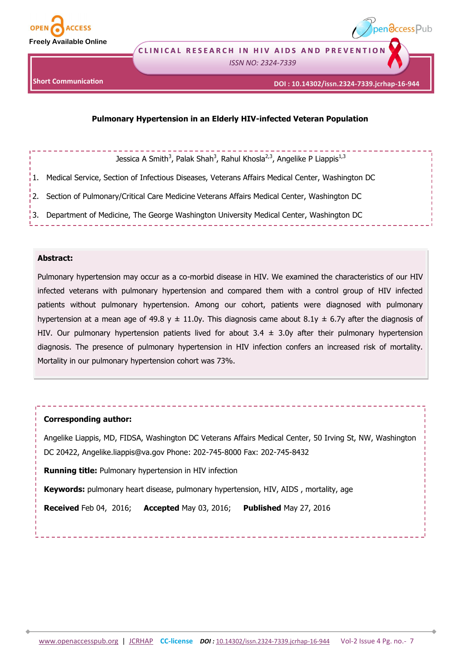

**CLINICAL RESEARCH IN HIV AIDS AND PREVENTION** 

*ISSN NO: 2324-7339* 



pendccess Pub

# **Pulmonary Hypertension in an Elderly HIV-infected Veteran Population**

# Jessica A Smith<sup>3</sup>, Palak Shah<sup>3</sup>, Rahul Khosla<sup>2,3</sup>, Angelike P Liappis<sup>1,3</sup>

1. Medical Service, Section of Infectious Diseases, Veterans Affairs Medical Center, Washington DC

2. Section of Pulmonary/Critical Care Medicine Veterans Affairs Medical Center, Washington DC

3. Department of Medicine, The George Washington University Medical Center, Washington DC

## **Abstract:**

Pulmonary hypertension may occur as a co-morbid disease in HIV. We examined the characteristics of our HIV infected veterans with pulmonary hypertension and compared them with a control group of HIV infected patients without pulmonary hypertension. Among our cohort, patients were diagnosed with pulmonary hypertension at a mean age of 49.8 y  $\pm$  11.0y. This diagnosis came about 8.1y  $\pm$  6.7y after the diagnosis of HIV. Our pulmonary hypertension patients lived for about  $3.4 \pm 3.0$ y after their pulmonary hypertension diagnosis. The presence of pulmonary hypertension in HIV infection confers an increased risk of mortality. Mortality in our pulmonary hypertension cohort was 73%.

# **Corresponding author:**

Angelike Liappis, MD, FIDSA, Washington DC Veterans Affairs Medical Center, 50 Irving St, NW, Washington DC 20422, Angelike.liappis@va.gov Phone: 202-745-8000 Fax: 202-745-8432

**Running title:** Pulmonary hypertension in HIV infection

**Keywords:** pulmonary heart disease, pulmonary hypertension, HIV, AIDS , mortality, age

**Received** Feb 04, 2016; **Accepted** May 03, 2016; **Published** May 27, 2016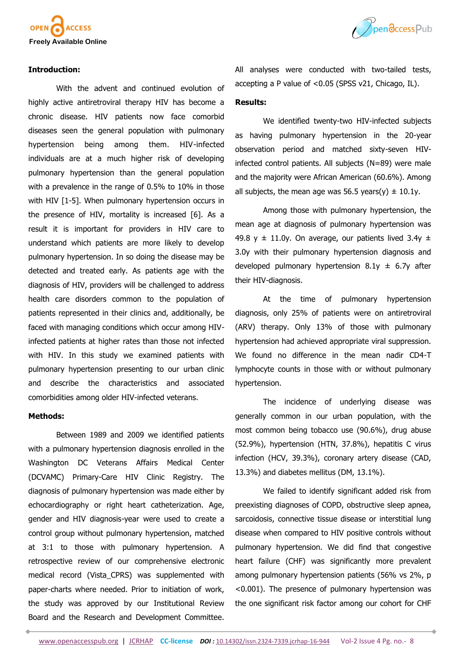

### **Introduction:**

With the advent and continued evolution of highly active antiretroviral therapy HIV has become a chronic disease. HIV patients now face comorbid diseases seen the general population with pulmonary hypertension being among them. HIV-infected individuals are at a much higher risk of developing pulmonary hypertension than the general population with a prevalence in the range of 0.5% to 10% in those with HIV [1-5]. When pulmonary hypertension occurs in the presence of HIV, mortality is increased [6]. As a result it is important for providers in HIV care to understand which patients are more likely to develop pulmonary hypertension. In so doing the disease may be detected and treated early. As patients age with the diagnosis of HIV, providers will be challenged to address health care disorders common to the population of patients represented in their clinics and, additionally, be faced with managing conditions which occur among HIVinfected patients at higher rates than those not infected with HIV. In this study we examined patients with pulmonary hypertension presenting to our urban clinic and describe the characteristics and associated comorbidities among older HIV-infected veterans.

#### **Methods:**

Between 1989 and 2009 we identified patients with a pulmonary hypertension diagnosis enrolled in the Washington DC Veterans Affairs Medical Center (DCVAMC) Primary-Care HIV Clinic Registry. The diagnosis of pulmonary hypertension was made either by echocardiography or right heart catheterization. Age, gender and HIV diagnosis-year were used to create a control group without pulmonary hypertension, matched at 3:1 to those with pulmonary hypertension. A retrospective review of our comprehensive electronic medical record (Vista\_CPRS) was supplemented with paper-charts where needed. Prior to initiation of work, the study was approved by our Institutional Review Board and the Research and Development Committee.



All analyses were conducted with two-tailed tests, accepting a P value of <0.05 (SPSS v21, Chicago, IL).

## **Results:**

We identified twenty-two HIV-infected subjects as having pulmonary hypertension in the 20-year observation period and matched sixty-seven HIVinfected control patients. All subjects (N=89) were male and the majority were African American (60.6%). Among all subjects, the mean age was 56.5 years(y)  $\pm$  10.1y.

Among those with pulmonary hypertension, the mean age at diagnosis of pulmonary hypertension was 49.8 y  $\pm$  11.0y. On average, our patients lived 3.4y  $\pm$ 3.0y with their pulmonary hypertension diagnosis and developed pulmonary hypertension  $8.1y \pm 6.7y$  after their HIV-diagnosis.

At the time of pulmonary hypertension diagnosis, only 25% of patients were on antiretroviral (ARV) therapy. Only 13% of those with pulmonary hypertension had achieved appropriate viral suppression. We found no difference in the mean nadir CD4-T lymphocyte counts in those with or without pulmonary hypertension.

The incidence of underlying disease was generally common in our urban population, with the most common being tobacco use (90.6%), drug abuse (52.9%), hypertension (HTN, 37.8%), hepatitis C virus infection (HCV, 39.3%), coronary artery disease (CAD, 13.3%) and diabetes mellitus (DM, 13.1%).

We failed to identify significant added risk from preexisting diagnoses of COPD, obstructive sleep apnea, sarcoidosis, connective tissue disease or interstitial lung disease when compared to HIV positive controls without pulmonary hypertension. We did find that congestive heart failure (CHF) was significantly more prevalent among pulmonary hypertension patients (56% vs 2%, p <0.001). The presence of pulmonary hypertension was the one significant risk factor among our cohort for CHF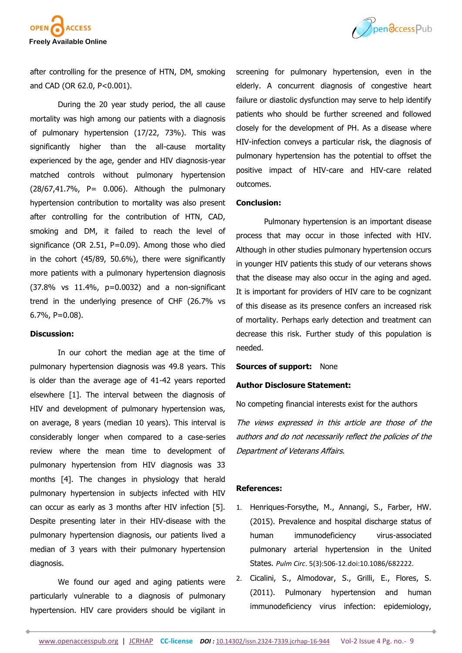



after controlling for the presence of HTN, DM, smoking and CAD (OR 62.0, P<0.001).

During the 20 year study period, the all cause mortality was high among our patients with a diagnosis of pulmonary hypertension (17/22, 73%). This was significantly higher than the all-cause mortality experienced by the age, gender and HIV diagnosis-year matched controls without pulmonary hypertension (28/67,41.7%, P= 0.006). Although the pulmonary hypertension contribution to mortality was also present after controlling for the contribution of HTN, CAD, smoking and DM, it failed to reach the level of significance (OR 2.51, P=0.09). Among those who died in the cohort (45/89, 50.6%), there were significantly more patients with a pulmonary hypertension diagnosis (37.8% vs 11.4%, p=0.0032) and a non-significant trend in the underlying presence of CHF (26.7% vs 6.7%, P=0.08).

#### **Discussion:**

In our cohort the median age at the time of pulmonary hypertension diagnosis was 49.8 years. This is older than the average age of 41-42 years reported elsewhere [1]. The interval between the diagnosis of HIV and development of pulmonary hypertension was, on average, 8 years (median 10 years). This interval is considerably longer when compared to a case-series review where the mean time to development of pulmonary hypertension from HIV diagnosis was 33 months [4]. The changes in physiology that herald pulmonary hypertension in subjects infected with HIV can occur as early as 3 months after HIV infection [5]. Despite presenting later in their HIV-disease with the pulmonary hypertension diagnosis, our patients lived a median of 3 years with their pulmonary hypertension diagnosis.

We found our aged and aging patients were particularly vulnerable to a diagnosis of pulmonary hypertension. HIV care providers should be vigilant in

screening for pulmonary hypertension, even in the elderly. A concurrent diagnosis of congestive heart failure or diastolic dysfunction may serve to help identify patients who should be further screened and followed closely for the development of PH. As a disease where HIV-infection conveys a particular risk, the diagnosis of pulmonary hypertension has the potential to offset the positive impact of HIV-care and HIV-care related outcomes.

### **Conclusion:**

Pulmonary hypertension is an important disease process that may occur in those infected with HIV. Although in other studies pulmonary hypertension occurs in younger HIV patients this study of our veterans shows that the disease may also occur in the aging and aged. It is important for providers of HIV care to be cognizant of this disease as its presence confers an increased risk of mortality. Perhaps early detection and treatment can decrease this risk. Further study of this population is needed.

#### **Sources of support: None**

## **Author Disclosure Statement:**

No competing financial interests exist for the authors

The views expressed in this article are those of the authors and do not necessarily reflect the policies of the Department of Veterans Affairs.

## **References:**

- 1. Henriques-Forsythe, M., Annangi, S., Farber, HW. (2015). Prevalence and hospital discharge status of human immunodeficiency virus-associated pulmonary arterial hypertension in the United States. *Pulm Circ*. 5(3):506-12.doi:10.1086/682222.
- 2. Cicalini, S., Almodovar, S., Grilli, E., Flores, S. (2011). Pulmonary hypertension and human immunodeficiency virus infection: epidemiology,